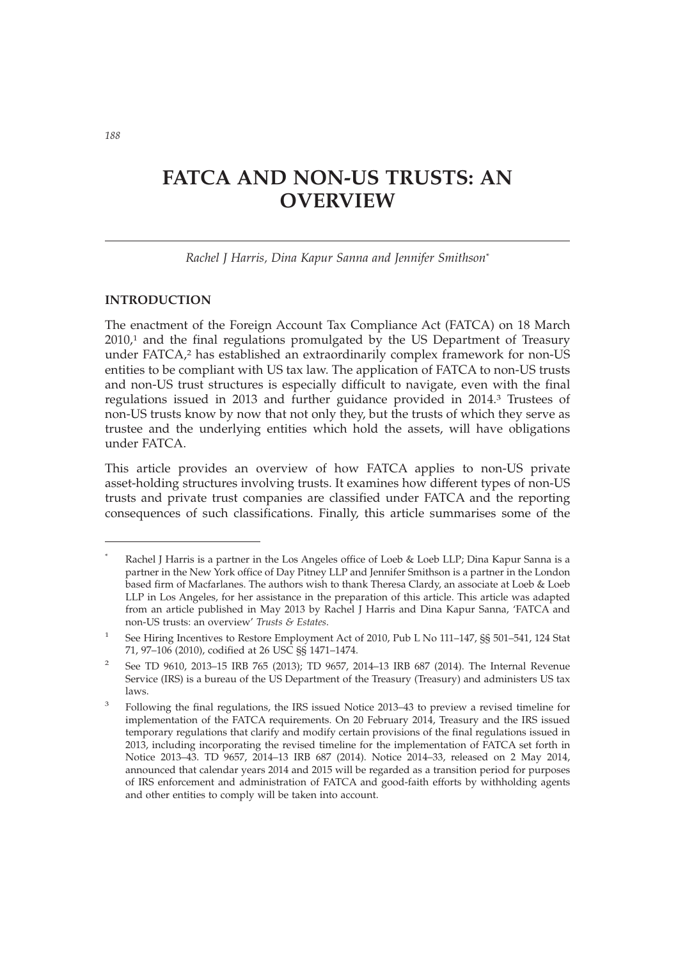# **FATCA AND NON-US TRUSTS: AN OVERVIEW**

*Rachel J Harris, Dina Kapur Sanna and Jennifer Smithson*\*

# **INTRODUCTION**

The enactment of the Foreign Account Tax Compliance Act (FATCA) on 18 March  $2010<sub>1</sub>$  and the final regulations promulgated by the US Department of Treasury under FATCA,<sup>2</sup> has established an extraordinarily complex framework for non-US entities to be compliant with US tax law. The application of FATCA to non-US trusts and non-US trust structures is especially difficult to navigate, even with the final regulations issued in 2013 and further guidance provided in 2014.3 Trustees of non-US trusts know by now that not only they, but the trusts of which they serve as trustee and the underlying entities which hold the assets, will have obligations under FATCA.

This article provides an overview of how FATCA applies to non-US private asset-holding structures involving trusts. It examines how different types of non-US trusts and private trust companies are classified under FATCA and the reporting consequences of such classifications. Finally, this article summarises some of the

Rachel J Harris is a partner in the Los Angeles office of Loeb & Loeb LLP; Dina Kapur Sanna is a partner in the New York office of Day Pitney LLP and Jennifer Smithson is a partner in the London based firm of Macfarlanes. The authors wish to thank Theresa Clardy, an associate at Loeb & Loeb LLP in Los Angeles, for her assistance in the preparation of this article. This article was adapted from an article published in May 2013 by Rachel J Harris and Dina Kapur Sanna, 'FATCA and non-US trusts: an overview' *Trusts & Estates*.

<sup>&</sup>lt;sup>1</sup> See Hiring Incentives to Restore Employment Act of 2010, Pub L No 111-147, §§ 501-541, 124 Stat 71, 97–106 (2010), codified at 26 USC §§ 1471–1474.

<sup>2</sup> See TD 9610, 2013–15 IRB 765 (2013); TD 9657, 2014–13 IRB 687 (2014). The Internal Revenue Service (IRS) is a bureau of the US Department of the Treasury (Treasury) and administers US tax laws.

<sup>&</sup>lt;sup>3</sup> Following the final regulations, the IRS issued Notice 2013–43 to preview a revised timeline for implementation of the FATCA requirements. On 20 February 2014, Treasury and the IRS issued temporary regulations that clarify and modify certain provisions of the final regulations issued in 2013, including incorporating the revised timeline for the implementation of FATCA set forth in Notice 2013–43. TD 9657, 2014–13 IRB 687 (2014). Notice 2014–33, released on 2 May 2014, announced that calendar years 2014 and 2015 will be regarded as a transition period for purposes of IRS enforcement and administration of FATCA and good-faith efforts by withholding agents and other entities to comply will be taken into account.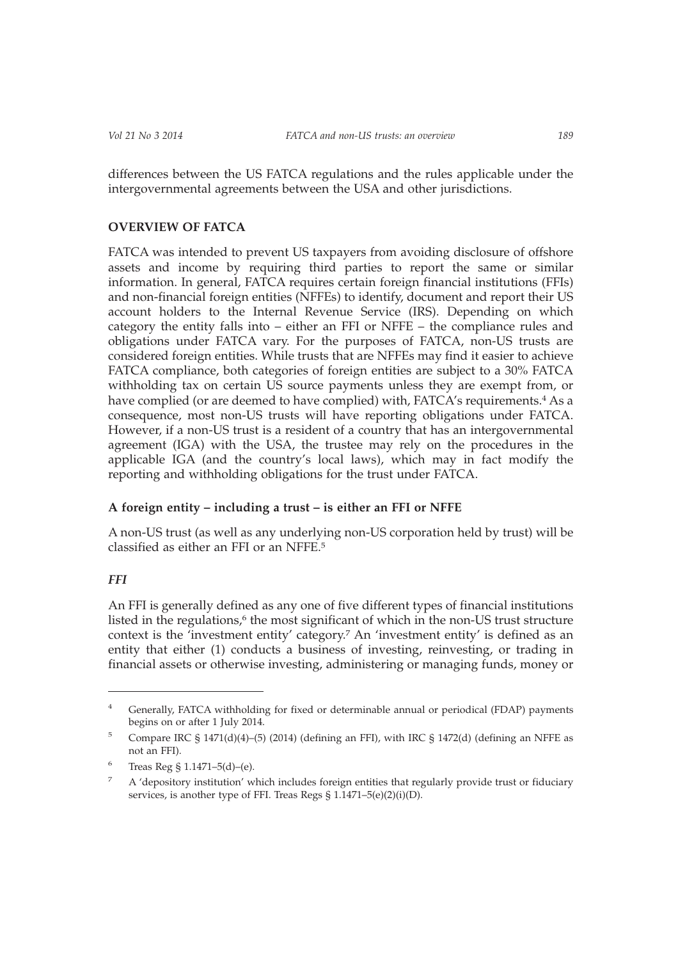differences between the US FATCA regulations and the rules applicable under the intergovernmental agreements between the USA and other jurisdictions.

# **OVERVIEW OF FATCA**

FATCA was intended to prevent US taxpayers from avoiding disclosure of offshore assets and income by requiring third parties to report the same or similar information. In general, FATCA requires certain foreign financial institutions (FFIs) and non-financial foreign entities (NFFEs) to identify, document and report their US account holders to the Internal Revenue Service (IRS). Depending on which category the entity falls into – either an FFI or NFFE – the compliance rules and obligations under FATCA vary. For the purposes of FATCA, non-US trusts are considered foreign entities. While trusts that are NFFEs may find it easier to achieve FATCA compliance, both categories of foreign entities are subject to a 30% FATCA withholding tax on certain US source payments unless they are exempt from, or have complied (or are deemed to have complied) with, FATCA's requirements.<sup>4</sup> As a consequence, most non-US trusts will have reporting obligations under FATCA. However, if a non-US trust is a resident of a country that has an intergovernmental agreement (IGA) with the USA, the trustee may rely on the procedures in the applicable IGA (and the country's local laws), which may in fact modify the reporting and withholding obligations for the trust under FATCA.

## **A foreign entity – including a trust – is either an FFI or NFFE**

A non-US trust (as well as any underlying non-US corporation held by trust) will be classified as either an FFI or an NFFE.5

# *FFI*

An FFI is generally defined as any one of five different types of financial institutions listed in the regulations,<sup>6</sup> the most significant of which in the non-US trust structure context is the 'investment entity' category.7 An 'investment entity' is defined as an entity that either (1) conducts a business of investing, reinvesting, or trading in financial assets or otherwise investing, administering or managing funds, money or

<sup>&</sup>lt;sup>4</sup> Generally, FATCA withholding for fixed or determinable annual or periodical (FDAP) payments begins on or after 1 July 2014.

<sup>&</sup>lt;sup>5</sup> Compare IRC § 1471(d)(4)–(5) (2014) (defining an FFI), with IRC § 1472(d) (defining an NFFE as not an FFI).

<sup>6</sup> Treas Reg § 1.1471–5(d)–(e).

<sup>&</sup>lt;sup>7</sup> A 'depository institution' which includes foreign entities that regularly provide trust or fiduciary services, is another type of FFI. Treas Regs § 1.1471–5(e)(2)(i)(D).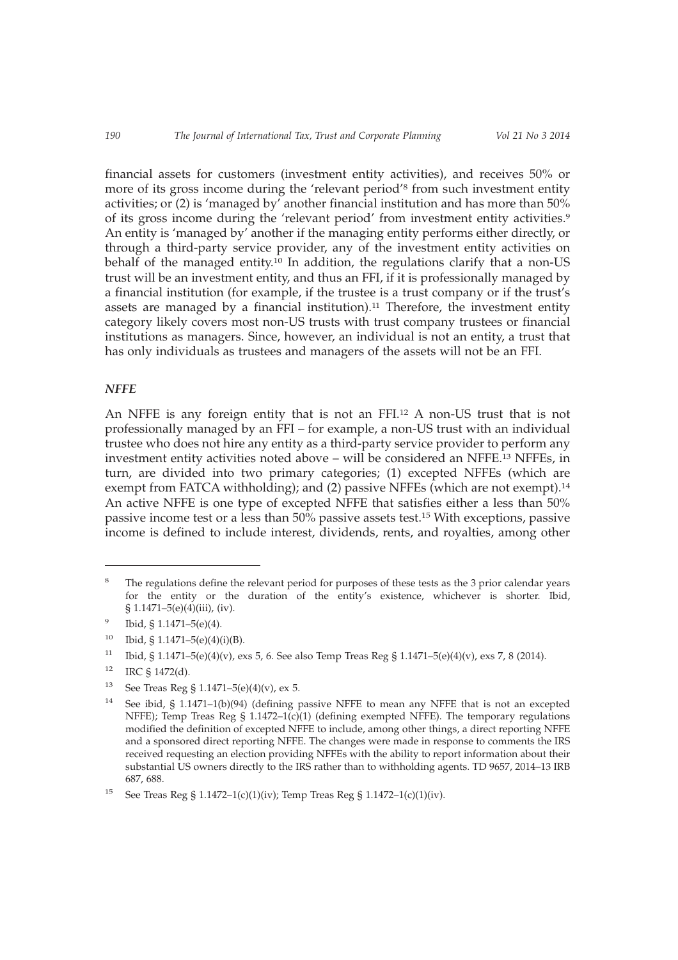financial assets for customers (investment entity activities), and receives 50% or more of its gross income during the 'relevant period'8 from such investment entity activities; or (2) is 'managed by' another financial institution and has more than 50% of its gross income during the 'relevant period' from investment entity activities.<sup>9</sup> An entity is 'managed by' another if the managing entity performs either directly, or through a third-party service provider, any of the investment entity activities on behalf of the managed entity.<sup>10</sup> In addition, the regulations clarify that a non-US trust will be an investment entity, and thus an FFI, if it is professionally managed by a financial institution (for example, if the trustee is a trust company or if the trust's assets are managed by a financial institution).<sup>11</sup> Therefore, the investment entity category likely covers most non-US trusts with trust company trustees or financial institutions as managers. Since, however, an individual is not an entity, a trust that has only individuals as trustees and managers of the assets will not be an FFI.

#### *NFFE*

An NFFE is any foreign entity that is not an FFI.12 A non-US trust that is not professionally managed by an FFI – for example, a non-US trust with an individual trustee who does not hire any entity as a third-party service provider to perform any investment entity activities noted above – will be considered an NFFE.13 NFFEs, in turn, are divided into two primary categories; (1) excepted NFFEs (which are exempt from FATCA withholding); and (2) passive NFFEs (which are not exempt).<sup>14</sup> An active NFFE is one type of excepted NFFE that satisfies either a less than 50% passive income test or a less than 50% passive assets test.15 With exceptions, passive income is defined to include interest, dividends, rents, and royalties, among other

The regulations define the relevant period for purposes of these tests as the 3 prior calendar years for the entity or the duration of the entity's existence, whichever is shorter. Ibid, § 1.1471–5(e)(4)(iii), (iv).

 $9$  Ibid, § 1.1471–5(e)(4).

 $10$  Ibid, § 1.1471–5(e)(4)(i)(B).

<sup>&</sup>lt;sup>11</sup> Ibid, § 1.1471–5(e)(4)(v), exs 5, 6. See also Temp Treas Reg § 1.1471–5(e)(4)(v), exs 7, 8 (2014).

 $12$  IRC § 1472(d).

<sup>&</sup>lt;sup>13</sup> See Treas Reg § 1.1471–5(e)(4)(v), ex 5.

<sup>&</sup>lt;sup>14</sup> See ibid, § 1.1471–1(b)(94) (defining passive NFFE to mean any NFFE that is not an excepted NFFE); Temp Treas Reg  $\S$  1.1472–1(c)(1) (defining exempted NFFE). The temporary regulations modified the definition of excepted NFFE to include, among other things, a direct reporting NFFE and a sponsored direct reporting NFFE. The changes were made in response to comments the IRS received requesting an election providing NFFEs with the ability to report information about their substantial US owners directly to the IRS rather than to withholding agents. TD 9657, 2014–13 IRB 687, 688.

<sup>&</sup>lt;sup>15</sup> See Treas Reg § 1.1472–1(c)(1)(iv); Temp Treas Reg § 1.1472–1(c)(1)(iv).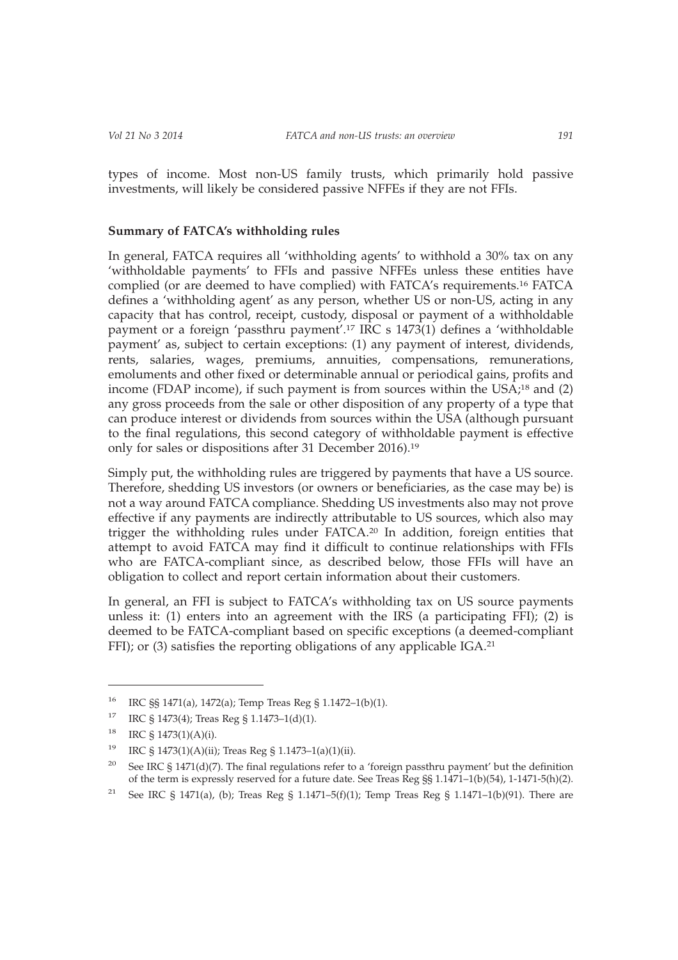types of income. Most non-US family trusts, which primarily hold passive investments, will likely be considered passive NFFEs if they are not FFIs.

## **Summary of FATCA's withholding rules**

In general, FATCA requires all 'withholding agents' to withhold a 30% tax on any 'withholdable payments' to FFIs and passive NFFEs unless these entities have complied (or are deemed to have complied) with FATCA's requirements.16 FATCA defines a 'withholding agent' as any person, whether US or non-US, acting in any capacity that has control, receipt, custody, disposal or payment of a withholdable payment or a foreign 'passthru payment'.17 IRC s 1473(1) defines a 'withholdable payment' as, subject to certain exceptions: (1) any payment of interest, dividends, rents, salaries, wages, premiums, annuities, compensations, remunerations, emoluments and other fixed or determinable annual or periodical gains, profits and income (FDAP income), if such payment is from sources within the USA;<sup>18</sup> and (2) any gross proceeds from the sale or other disposition of any property of a type that can produce interest or dividends from sources within the USA (although pursuant to the final regulations, this second category of withholdable payment is effective only for sales or dispositions after 31 December 2016).19

Simply put, the withholding rules are triggered by payments that have a US source. Therefore, shedding US investors (or owners or beneficiaries, as the case may be) is not a way around FATCA compliance. Shedding US investments also may not prove effective if any payments are indirectly attributable to US sources, which also may trigger the withholding rules under FATCA.20 In addition, foreign entities that attempt to avoid FATCA may find it difficult to continue relationships with FFIs who are FATCA-compliant since, as described below, those FFIs will have an obligation to collect and report certain information about their customers.

In general, an FFI is subject to FATCA's withholding tax on US source payments unless it: (1) enters into an agreement with the IRS (a participating FFI); (2) is deemed to be FATCA-compliant based on specific exceptions (a deemed-compliant FFI); or (3) satisfies the reporting obligations of any applicable IGA.<sup>21</sup>

<sup>16</sup> IRC §§ 1471(a), 1472(a); Temp Treas Reg § 1.1472–1(b)(1).

<sup>&</sup>lt;sup>17</sup> IRC § 1473(4); Treas Reg § 1.1473–1(d)(1).

<sup>18</sup> IRC § 1473(1)(A)(i).

<sup>19</sup> IRC § 1473(1)(A)(ii); Treas Reg § 1.1473–1(a)(1)(ii).

<sup>&</sup>lt;sup>20</sup> See IRC § 1471(d)(7). The final regulations refer to a 'foreign passthru payment' but the definition of the term is expressly reserved for a future date. See Treas Reg §§ 1.1471–1(b)(54), 1-1471-5(h)(2).

<sup>&</sup>lt;sup>21</sup> See IRC § 1471(a), (b); Treas Reg § 1.1471–5(f)(1); Temp Treas Reg § 1.1471–1(b)(91). There are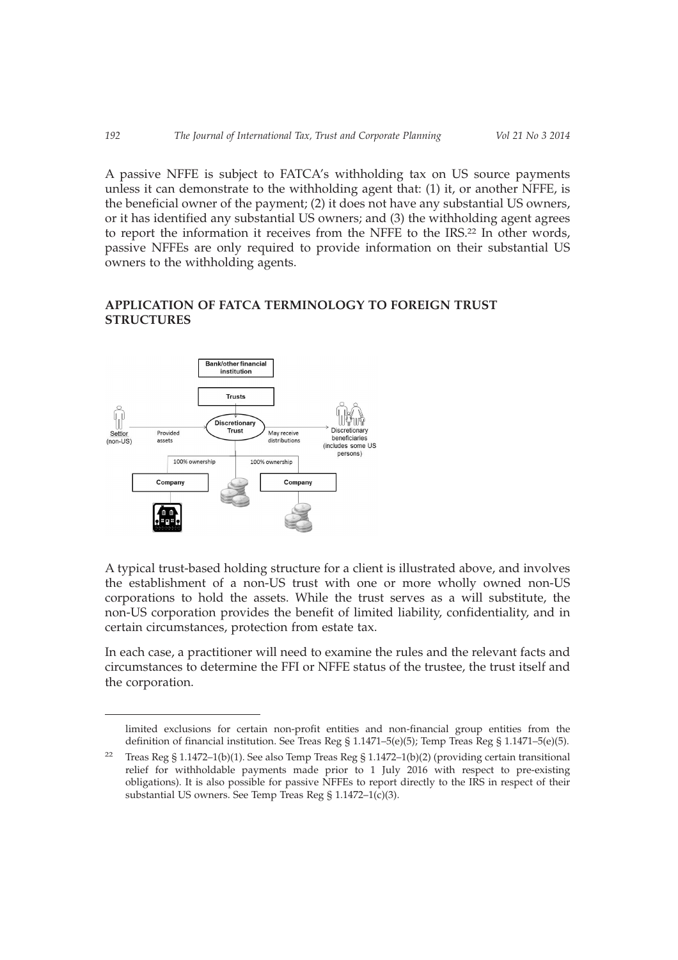A passive NFFE is subject to FATCA's withholding tax on US source payments unless it can demonstrate to the withholding agent that: (1) it, or another NFFE, is the beneficial owner of the payment; (2) it does not have any substantial US owners, or it has identified any substantial US owners; and (3) the withholding agent agrees to report the information it receives from the NFFE to the IRS.22 In other words, passive NFFEs are only required to provide information on their substantial US owners to the withholding agents.

# **APPLICATION OF FATCA TERMINOLOGY TO FOREIGN TRUST STRUCTURES**



A typical trust-based holding structure for a client is illustrated above, and involves the establishment of a non-US trust with one or more wholly owned non-US corporations to hold the assets. While the trust serves as a will substitute, the non-US corporation provides the benefit of limited liability, confidentiality, and in certain circumstances, protection from estate tax.

In each case, a practitioner will need to examine the rules and the relevant facts and circumstances to determine the FFI or NFFE status of the trustee, the trust itself and the corporation.

limited exclusions for certain non-profit entities and non-financial group entities from the definition of financial institution. See Treas Reg § 1.1471–5(e)(5); Temp Treas Reg § 1.1471–5(e)(5).

<sup>&</sup>lt;sup>22</sup> Treas Reg § 1.1472–1(b)(1). See also Temp Treas Reg § 1.1472–1(b)(2) (providing certain transitional relief for withholdable payments made prior to 1 July 2016 with respect to pre-existing obligations). It is also possible for passive NFFEs to report directly to the IRS in respect of their substantial US owners. See Temp Treas Reg § 1.1472–1(c)(3).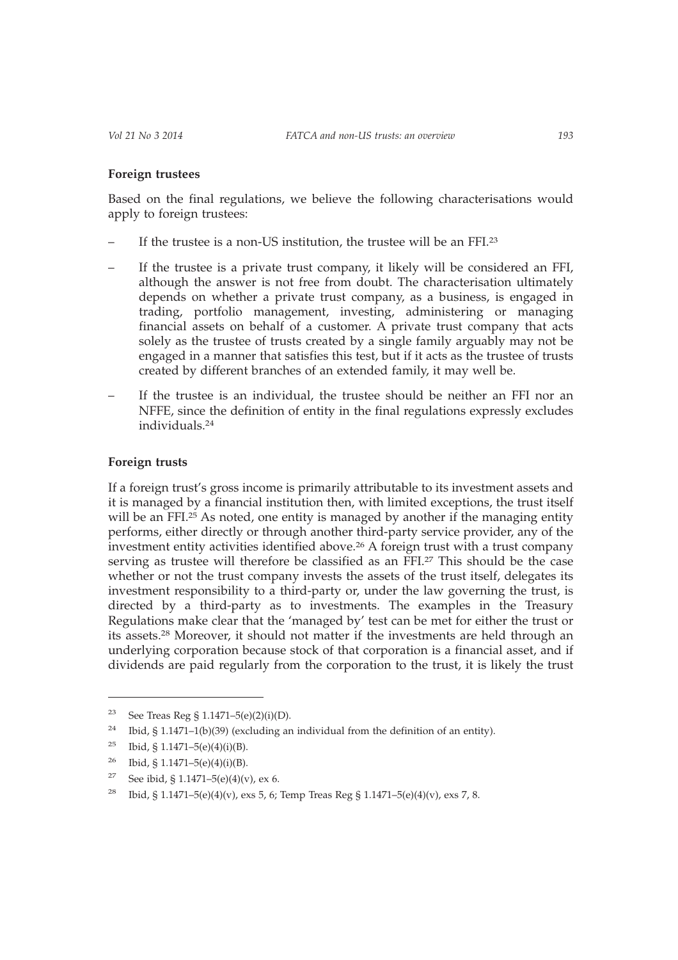#### **Foreign trustees**

Based on the final regulations, we believe the following characterisations would apply to foreign trustees:

- If the trustee is a non-US institution, the trustee will be an FFI.<sup>23</sup>
- If the trustee is a private trust company, it likely will be considered an FFI, although the answer is not free from doubt. The characterisation ultimately depends on whether a private trust company, as a business, is engaged in trading, portfolio management, investing, administering or managing financial assets on behalf of a customer. A private trust company that acts solely as the trustee of trusts created by a single family arguably may not be engaged in a manner that satisfies this test, but if it acts as the trustee of trusts created by different branches of an extended family, it may well be.
- If the trustee is an individual, the trustee should be neither an FFI nor an NFFE, since the definition of entity in the final regulations expressly excludes individuals.24

## **Foreign trusts**

If a foreign trust's gross income is primarily attributable to its investment assets and it is managed by a financial institution then, with limited exceptions, the trust itself will be an FFI.<sup>25</sup> As noted, one entity is managed by another if the managing entity performs, either directly or through another third-party service provider, any of the investment entity activities identified above.26 A foreign trust with a trust company serving as trustee will therefore be classified as an FFI.27 This should be the case whether or not the trust company invests the assets of the trust itself, delegates its investment responsibility to a third-party or, under the law governing the trust, is directed by a third-party as to investments. The examples in the Treasury Regulations make clear that the 'managed by' test can be met for either the trust or its assets.28 Moreover, it should not matter if the investments are held through an underlying corporation because stock of that corporation is a financial asset, and if dividends are paid regularly from the corporation to the trust, it is likely the trust

<sup>&</sup>lt;sup>23</sup> See Treas Reg § 1.1471–5(e)(2)(i)(D).

<sup>&</sup>lt;sup>24</sup> Ibid, § 1.1471–1(b)(39) (excluding an individual from the definition of an entity).

<sup>&</sup>lt;sup>25</sup> Ibid, § 1.1471–5(e)(4)(i)(B).

<sup>&</sup>lt;sup>26</sup> Ibid, § 1.1471–5(e)(4)(i)(B).

<sup>&</sup>lt;sup>27</sup> See ibid, § 1.1471–5(e)(4)(v), ex 6.

<sup>&</sup>lt;sup>28</sup> Ibid, § 1.1471–5(e)(4)(v), exs 5, 6; Temp Treas Reg § 1.1471–5(e)(4)(v), exs 7, 8.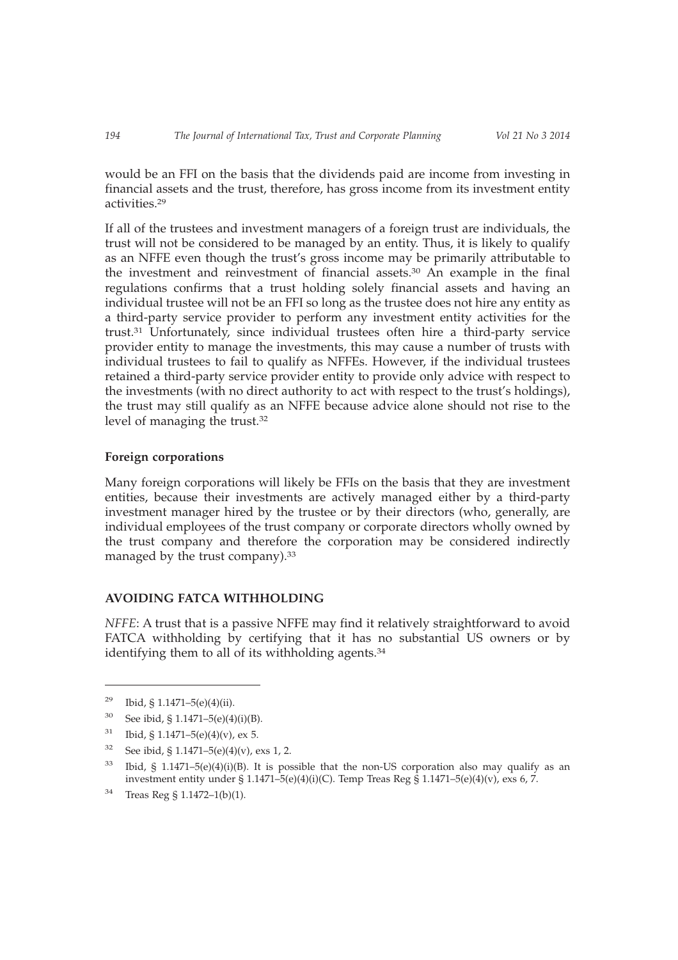would be an FFI on the basis that the dividends paid are income from investing in financial assets and the trust, therefore, has gross income from its investment entity activities.29

If all of the trustees and investment managers of a foreign trust are individuals, the trust will not be considered to be managed by an entity. Thus, it is likely to qualify as an NFFE even though the trust's gross income may be primarily attributable to the investment and reinvestment of financial assets.30 An example in the final regulations confirms that a trust holding solely financial assets and having an individual trustee will not be an FFI so long as the trustee does not hire any entity as a third-party service provider to perform any investment entity activities for the trust.31 Unfortunately, since individual trustees often hire a third-party service provider entity to manage the investments, this may cause a number of trusts with individual trustees to fail to qualify as NFFEs. However, if the individual trustees retained a third-party service provider entity to provide only advice with respect to the investments (with no direct authority to act with respect to the trust's holdings), the trust may still qualify as an NFFE because advice alone should not rise to the level of managing the trust.32

#### **Foreign corporations**

Many foreign corporations will likely be FFIs on the basis that they are investment entities, because their investments are actively managed either by a third-party investment manager hired by the trustee or by their directors (who, generally, are individual employees of the trust company or corporate directors wholly owned by the trust company and therefore the corporation may be considered indirectly managed by the trust company).<sup>33</sup>

## **AVOIDING FATCA WITHHOLDING**

*NFFE*: A trust that is a passive NFFE may find it relatively straightforward to avoid FATCA withholding by certifying that it has no substantial US owners or by identifying them to all of its withholding agents.<sup>34</sup>

- $31$  Ibid, § 1.1471–5(e)(4)(v), ex 5.
- $32$  See ibid, § 1.1471–5(e)(4)(v), exs 1, 2.

<sup>34</sup> Treas Reg § 1.1472–1(b)(1).

<sup>&</sup>lt;sup>29</sup> Ibid, § 1.1471–5(e)(4)(ii).

<sup>30</sup> See ibid, § 1.1471–5(e)(4)(i)(B).

 $33$  Ibid, § 1.1471–5(e)(4)(i)(B). It is possible that the non-US corporation also may qualify as an investment entity under § 1.1471–5(e)(4)(i)(C). Temp Treas Reg § 1.1471–5(e)(4)(v), exs 6, 7.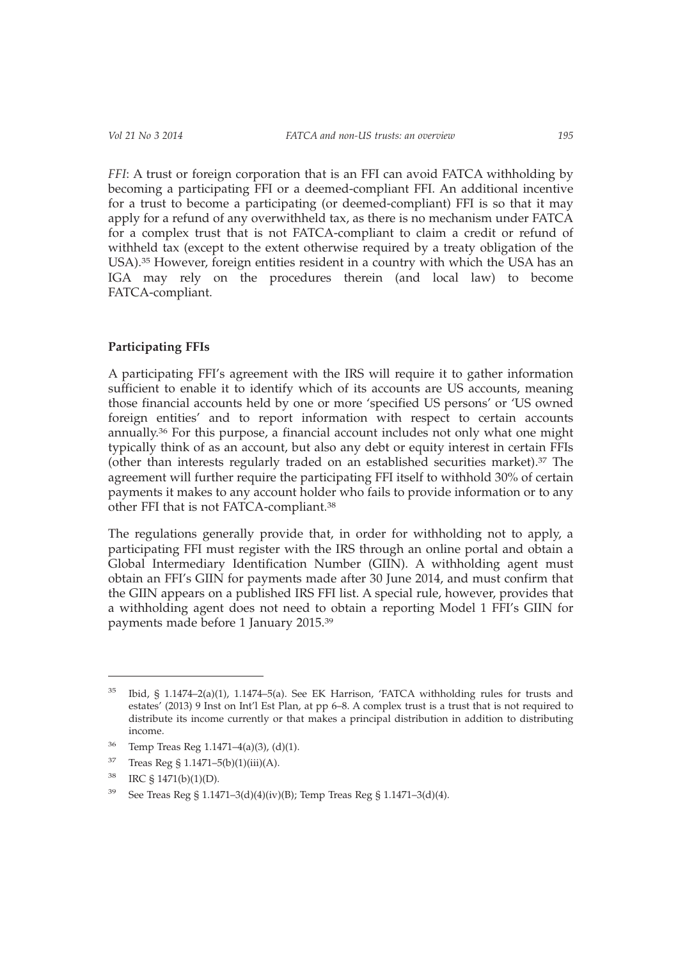*FFI*: A trust or foreign corporation that is an FFI can avoid FATCA withholding by becoming a participating FFI or a deemed-compliant FFI. An additional incentive for a trust to become a participating (or deemed-compliant) FFI is so that it may apply for a refund of any overwithheld tax, as there is no mechanism under FATCA for a complex trust that is not FATCA-compliant to claim a credit or refund of withheld tax (except to the extent otherwise required by a treaty obligation of the USA).35 However, foreign entities resident in a country with which the USA has an IGA may rely on the procedures therein (and local law) to become FATCA-compliant.

## **Participating FFIs**

A participating FFI's agreement with the IRS will require it to gather information sufficient to enable it to identify which of its accounts are US accounts, meaning those financial accounts held by one or more 'specified US persons' or 'US owned foreign entities' and to report information with respect to certain accounts annually.36 For this purpose, a financial account includes not only what one might typically think of as an account, but also any debt or equity interest in certain FFIs (other than interests regularly traded on an established securities market).37 The agreement will further require the participating FFI itself to withhold 30% of certain payments it makes to any account holder who fails to provide information or to any other FFI that is not FATCA-compliant.38

The regulations generally provide that, in order for withholding not to apply, a participating FFI must register with the IRS through an online portal and obtain a Global Intermediary Identification Number (GIIN). A withholding agent must obtain an FFI's GIIN for payments made after 30 June 2014, and must confirm that the GIIN appears on a published IRS FFI list. A special rule, however, provides that a withholding agent does not need to obtain a reporting Model 1 FFI's GIIN for payments made before 1 January 2015.39

- <sup>36</sup> Temp Treas Reg 1.1471–4(a)(3), (d)(1).
- $37$  Treas Reg § 1.1471–5(b)(1)(iii)(A).
- <sup>38</sup> IRC § 1471(b)(1)(D).

 $35$  Ibid, § 1.1474–2(a)(1), 1.1474–5(a). See EK Harrison, 'FATCA withholding rules for trusts and estates' (2013) 9 Inst on Int'l Est Plan, at pp 6–8. A complex trust is a trust that is not required to distribute its income currently or that makes a principal distribution in addition to distributing income.

<sup>&</sup>lt;sup>39</sup> See Treas Reg § 1.1471–3(d)(4)(iv)(B); Temp Treas Reg § 1.1471–3(d)(4).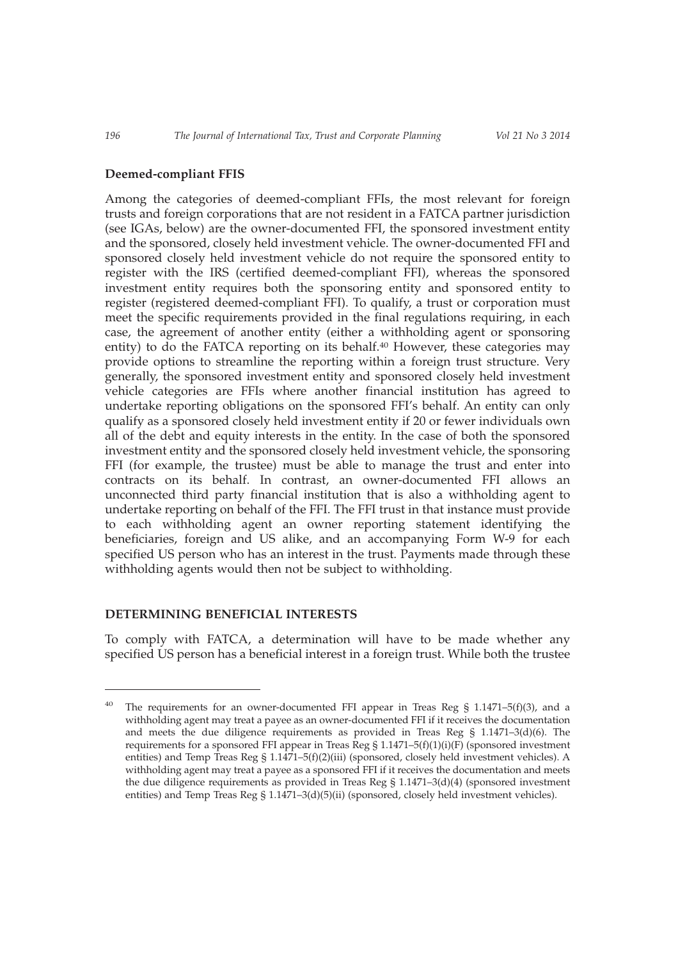#### **Deemed-compliant FFIS**

Among the categories of deemed-compliant FFIs, the most relevant for foreign trusts and foreign corporations that are not resident in a FATCA partner jurisdiction (see IGAs, below) are the owner-documented FFI, the sponsored investment entity and the sponsored, closely held investment vehicle. The owner-documented FFI and sponsored closely held investment vehicle do not require the sponsored entity to register with the IRS (certified deemed-compliant FFI), whereas the sponsored investment entity requires both the sponsoring entity and sponsored entity to register (registered deemed-compliant FFI). To qualify, a trust or corporation must meet the specific requirements provided in the final regulations requiring, in each case, the agreement of another entity (either a withholding agent or sponsoring entity) to do the FATCA reporting on its behalf.<sup>40</sup> However, these categories may provide options to streamline the reporting within a foreign trust structure. Very generally, the sponsored investment entity and sponsored closely held investment vehicle categories are FFIs where another financial institution has agreed to undertake reporting obligations on the sponsored FFI's behalf. An entity can only qualify as a sponsored closely held investment entity if 20 or fewer individuals own all of the debt and equity interests in the entity. In the case of both the sponsored investment entity and the sponsored closely held investment vehicle, the sponsoring FFI (for example, the trustee) must be able to manage the trust and enter into contracts on its behalf. In contrast, an owner-documented FFI allows an unconnected third party financial institution that is also a withholding agent to undertake reporting on behalf of the FFI. The FFI trust in that instance must provide to each withholding agent an owner reporting statement identifying the beneficiaries, foreign and US alike, and an accompanying Form W-9 for each specified US person who has an interest in the trust. Payments made through these withholding agents would then not be subject to withholding.

#### **DETERMINING BENEFICIAL INTERESTS**

To comply with FATCA, a determination will have to be made whether any specified US person has a beneficial interest in a foreign trust. While both the trustee

The requirements for an owner-documented FFI appear in Treas Reg § 1.1471–5(f)(3), and a withholding agent may treat a payee as an owner-documented FFI if it receives the documentation and meets the due diligence requirements as provided in Treas Reg  $\S$  1.1471-3(d)(6). The requirements for a sponsored FFI appear in Treas Reg  $\S 1.1471-5(f)(1)(i)(F)$  (sponsored investment entities) and Temp Treas Reg § 1.1471–5(f)(2)(iii) (sponsored, closely held investment vehicles). A withholding agent may treat a payee as a sponsored FFI if it receives the documentation and meets the due diligence requirements as provided in Treas Reg  $\S 1.1471-3(d)(4)$  (sponsored investment entities) and Temp Treas Reg § 1.1471–3(d)(5)(ii) (sponsored, closely held investment vehicles).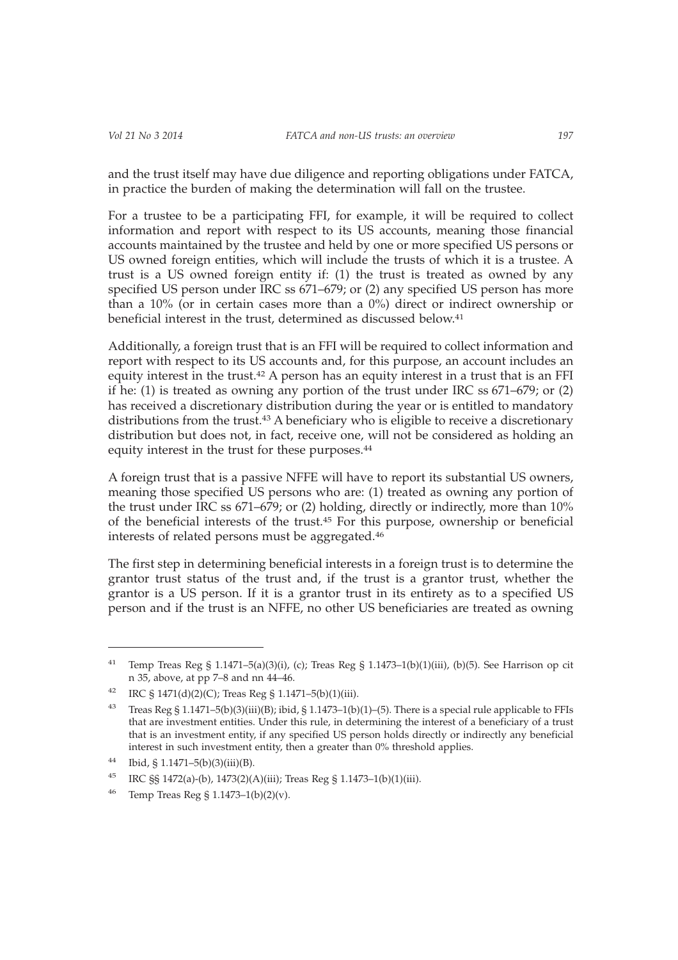and the trust itself may have due diligence and reporting obligations under FATCA, in practice the burden of making the determination will fall on the trustee.

For a trustee to be a participating FFI, for example, it will be required to collect information and report with respect to its US accounts, meaning those financial accounts maintained by the trustee and held by one or more specified US persons or US owned foreign entities, which will include the trusts of which it is a trustee. A trust is a US owned foreign entity if: (1) the trust is treated as owned by any specified US person under IRC ss 671–679; or (2) any specified US person has more than a 10% (or in certain cases more than a 0%) direct or indirect ownership or beneficial interest in the trust, determined as discussed below.41

Additionally, a foreign trust that is an FFI will be required to collect information and report with respect to its US accounts and, for this purpose, an account includes an equity interest in the trust.<sup>42</sup> A person has an equity interest in a trust that is an FFI if he: (1) is treated as owning any portion of the trust under IRC ss 671–679; or (2) has received a discretionary distribution during the year or is entitled to mandatory distributions from the trust.43 A beneficiary who is eligible to receive a discretionary distribution but does not, in fact, receive one, will not be considered as holding an equity interest in the trust for these purposes.44

A foreign trust that is a passive NFFE will have to report its substantial US owners, meaning those specified US persons who are: (1) treated as owning any portion of the trust under IRC ss 671–679; or (2) holding, directly or indirectly, more than 10% of the beneficial interests of the trust.45 For this purpose, ownership or beneficial interests of related persons must be aggregated.46

The first step in determining beneficial interests in a foreign trust is to determine the grantor trust status of the trust and, if the trust is a grantor trust, whether the grantor is a US person. If it is a grantor trust in its entirety as to a specified US person and if the trust is an NFFE, no other US beneficiaries are treated as owning

<sup>&</sup>lt;sup>41</sup> Temp Treas Reg § 1.1471–5(a)(3)(i), (c); Treas Reg § 1.1473–1(b)(1)(iii), (b)(5). See Harrison op cit n 35, above, at pp 7–8 and nn 44–46.

<sup>&</sup>lt;sup>42</sup> IRC § 1471(d)(2)(C); Treas Reg § 1.1471-5(b)(1)(iii).

<sup>43</sup> Treas Reg § 1.1471–5(b)(3)(iii)(B); ibid, § 1.1473–1(b)(1)–(5). There is a special rule applicable to FFIs that are investment entities. Under this rule, in determining the interest of a beneficiary of a trust that is an investment entity, if any specified US person holds directly or indirectly any beneficial interest in such investment entity, then a greater than 0% threshold applies.

 $44$  Ibid, § 1.1471–5(b)(3)(iii)(B).

<sup>45</sup> IRC §§ 1472(a)-(b), 1473(2)(A)(iii); Treas Reg § 1.1473–1(b)(1)(iii).

<sup>46</sup> Temp Treas Reg § 1.1473–1(b)(2)(v).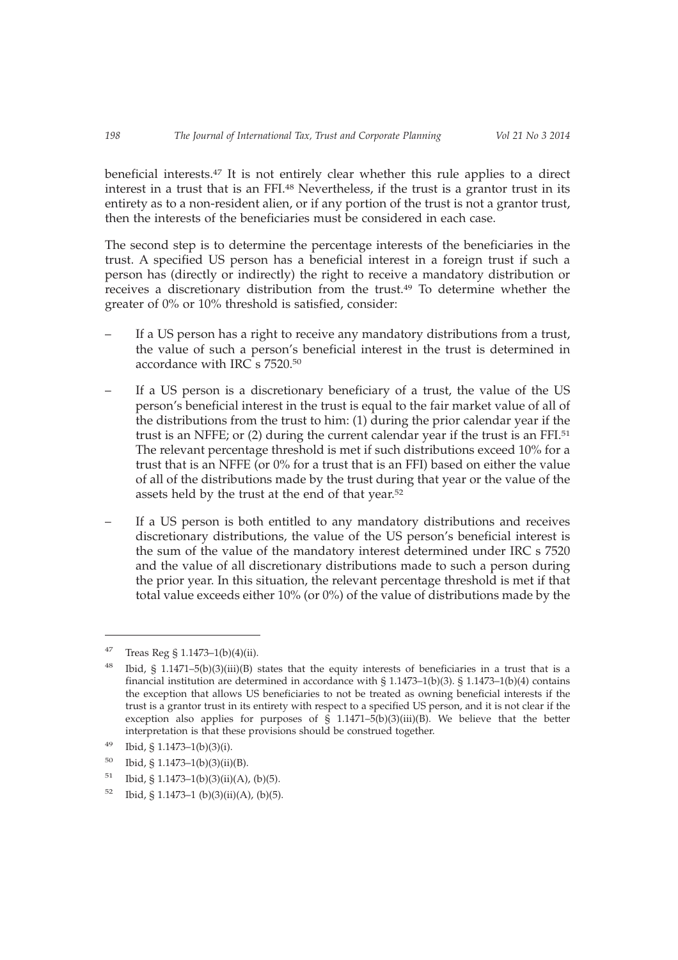beneficial interests.47 It is not entirely clear whether this rule applies to a direct interest in a trust that is an FFI.<sup>48</sup> Nevertheless, if the trust is a grantor trust in its entirety as to a non-resident alien, or if any portion of the trust is not a grantor trust, then the interests of the beneficiaries must be considered in each case.

The second step is to determine the percentage interests of the beneficiaries in the trust. A specified US person has a beneficial interest in a foreign trust if such a person has (directly or indirectly) the right to receive a mandatory distribution or receives a discretionary distribution from the trust.<sup>49</sup> To determine whether the greater of 0% or 10% threshold is satisfied, consider:

- If a US person has a right to receive any mandatory distributions from a trust, the value of such a person's beneficial interest in the trust is determined in accordance with IRC s  $7520^{50}$
- If a US person is a discretionary beneficiary of a trust, the value of the US person's beneficial interest in the trust is equal to the fair market value of all of the distributions from the trust to him: (1) during the prior calendar year if the trust is an NFFE; or (2) during the current calendar year if the trust is an FFI.<sup>51</sup> The relevant percentage threshold is met if such distributions exceed 10% for a trust that is an NFFE (or 0% for a trust that is an FFI) based on either the value of all of the distributions made by the trust during that year or the value of the assets held by the trust at the end of that year.<sup>52</sup>
- If a US person is both entitled to any mandatory distributions and receives discretionary distributions, the value of the US person's beneficial interest is the sum of the value of the mandatory interest determined under IRC s 7520 and the value of all discretionary distributions made to such a person during the prior year. In this situation, the relevant percentage threshold is met if that total value exceeds either 10% (or 0%) of the value of distributions made by the

<sup>&</sup>lt;sup>47</sup> Treas Reg § 1.1473–1(b)(4)(ii).

<sup>48</sup> Ibid, § 1.1471–5(b)(3)(iii)(B) states that the equity interests of beneficiaries in a trust that is a financial institution are determined in accordance with  $\S$  1.1473–1(b)(3).  $\S$  1.1473–1(b)(4) contains the exception that allows US beneficiaries to not be treated as owning beneficial interests if the trust is a grantor trust in its entirety with respect to a specified US person, and it is not clear if the exception also applies for purposes of  $\hat{S}$  1.1471–5(b)(3)(iii)(B). We believe that the better interpretation is that these provisions should be construed together.

 $49$  Ibid, § 1.1473–1(b)(3)(i).

 $50$  Ibid, § 1.1473–1(b)(3)(ii)(B).

 $51$  Ibid, § 1.1473–1(b)(3)(ii)(A), (b)(5).

 $52$  Ibid, § 1.1473–1 (b)(3)(ii)(A), (b)(5).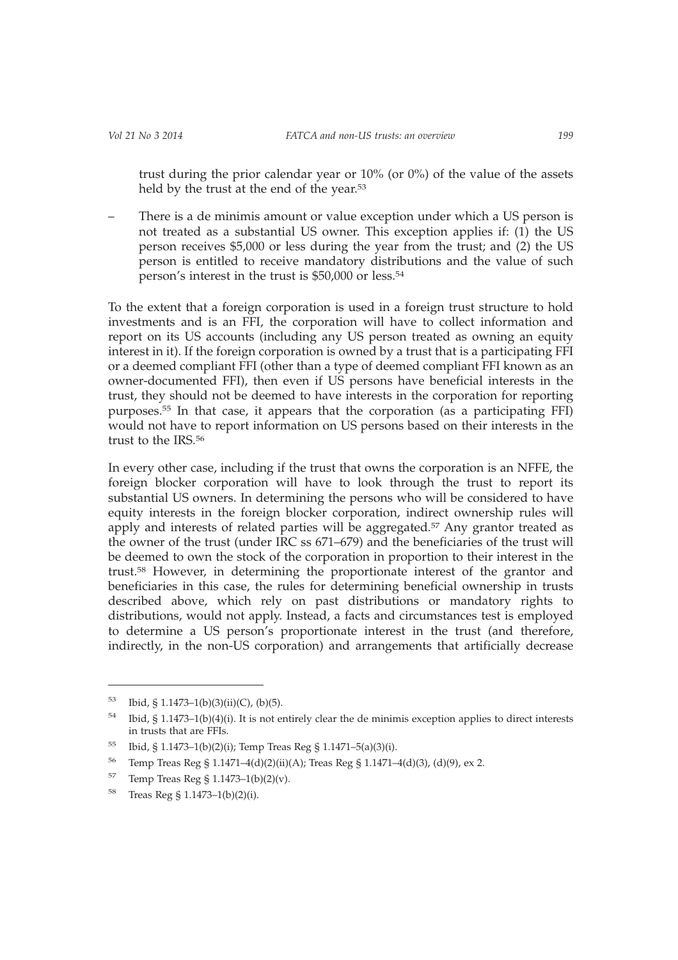trust during the prior calendar year or 10% (or 0%) of the value of the assets held by the trust at the end of the year.<sup>53</sup>

– There is a de minimis amount or value exception under which a US person is not treated as a substantial US owner. This exception applies if: (1) the US person receives \$5,000 or less during the year from the trust; and (2) the US person is entitled to receive mandatory distributions and the value of such person's interest in the trust is \$50,000 or less.54

To the extent that a foreign corporation is used in a foreign trust structure to hold investments and is an FFI, the corporation will have to collect information and report on its US accounts (including any US person treated as owning an equity interest in it). If the foreign corporation is owned by a trust that is a participating FFI or a deemed compliant FFI (other than a type of deemed compliant FFI known as an owner-documented FFI), then even if US persons have beneficial interests in the trust, they should not be deemed to have interests in the corporation for reporting purposes.55 In that case, it appears that the corporation (as a participating FFI) would not have to report information on US persons based on their interests in the trust to the IRS 56

In every other case, including if the trust that owns the corporation is an NFFE, the foreign blocker corporation will have to look through the trust to report its substantial US owners. In determining the persons who will be considered to have equity interests in the foreign blocker corporation, indirect ownership rules will apply and interests of related parties will be aggregated.57 Any grantor treated as the owner of the trust (under IRC ss 671–679) and the beneficiaries of the trust will be deemed to own the stock of the corporation in proportion to their interest in the trust.58 However, in determining the proportionate interest of the grantor and beneficiaries in this case, the rules for determining beneficial ownership in trusts described above, which rely on past distributions or mandatory rights to distributions, would not apply. Instead, a facts and circumstances test is employed to determine a US person's proportionate interest in the trust (and therefore, indirectly, in the non-US corporation) and arrangements that artificially decrease

<sup>53</sup> Ibid, § 1.1473–1(b)(3)(ii)(C), (b)(5).

<sup>54</sup> Ibid, § 1.1473–1(b)(4)(i). It is not entirely clear the de minimis exception applies to direct interests in trusts that are FFIs.

<sup>55</sup> Ibid, § 1.1473–1(b)(2)(i); Temp Treas Reg § 1.1471–5(a)(3)(i).

<sup>56</sup> Temp Treas Reg § 1.1471–4(d)(2)(ii)(A); Treas Reg § 1.1471–4(d)(3), (d)(9), ex 2.

<sup>57</sup> Temp Treas Reg § 1.1473–1(b)(2)(v).

<sup>58</sup> Treas Reg § 1.1473–1(b)(2)(i).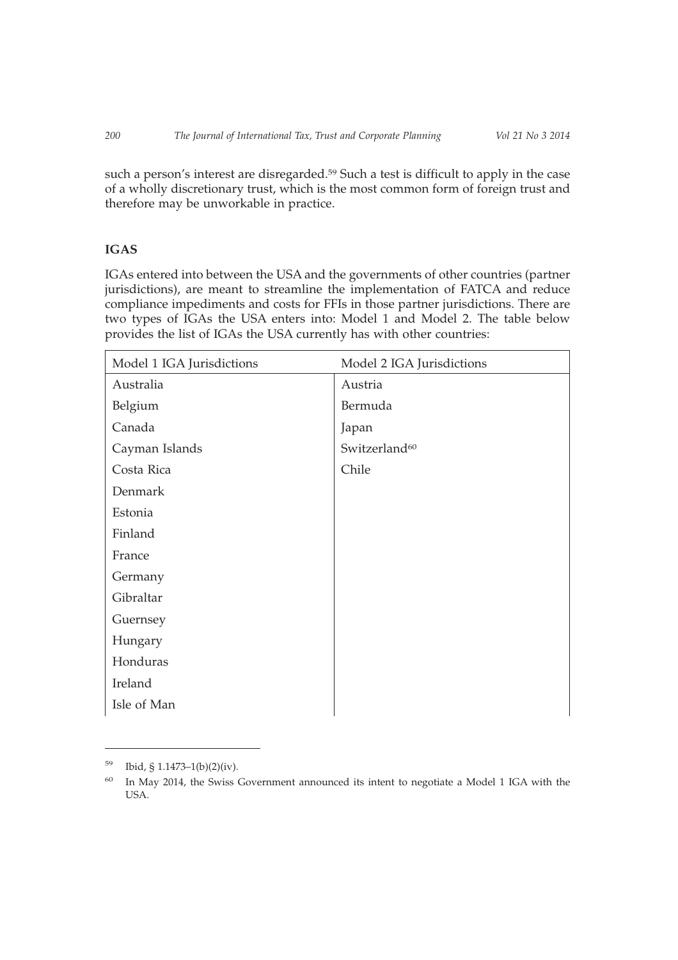such a person's interest are disregarded.<sup>59</sup> Such a test is difficult to apply in the case of a wholly discretionary trust, which is the most common form of foreign trust and therefore may be unworkable in practice.

# **IGAS**

IGAs entered into between the USA and the governments of other countries (partner jurisdictions), are meant to streamline the implementation of FATCA and reduce compliance impediments and costs for FFIs in those partner jurisdictions. There are two types of IGAs the USA enters into: Model 1 and Model 2. The table below provides the list of IGAs the USA currently has with other countries:

| Model 1 IGA Jurisdictions | Model 2 IGA Jurisdictions |
|---------------------------|---------------------------|
| Australia                 | Austria                   |
| Belgium                   | Bermuda                   |
| Canada                    | Japan                     |
| Cayman Islands            | Switzerland <sup>60</sup> |
| Costa Rica                | Chile                     |
| Denmark                   |                           |
| Estonia                   |                           |
| Finland                   |                           |
| France                    |                           |
| Germany                   |                           |
| Gibraltar                 |                           |
| Guernsey                  |                           |
| Hungary                   |                           |
| Honduras                  |                           |
| Ireland                   |                           |
| Isle of Man               |                           |

 $^{59}$  Ibid, § 1.1473–1(b)(2)(iv).

<sup>&</sup>lt;sup>60</sup> In May 2014, the Swiss Government announced its intent to negotiate a Model 1 IGA with the USA.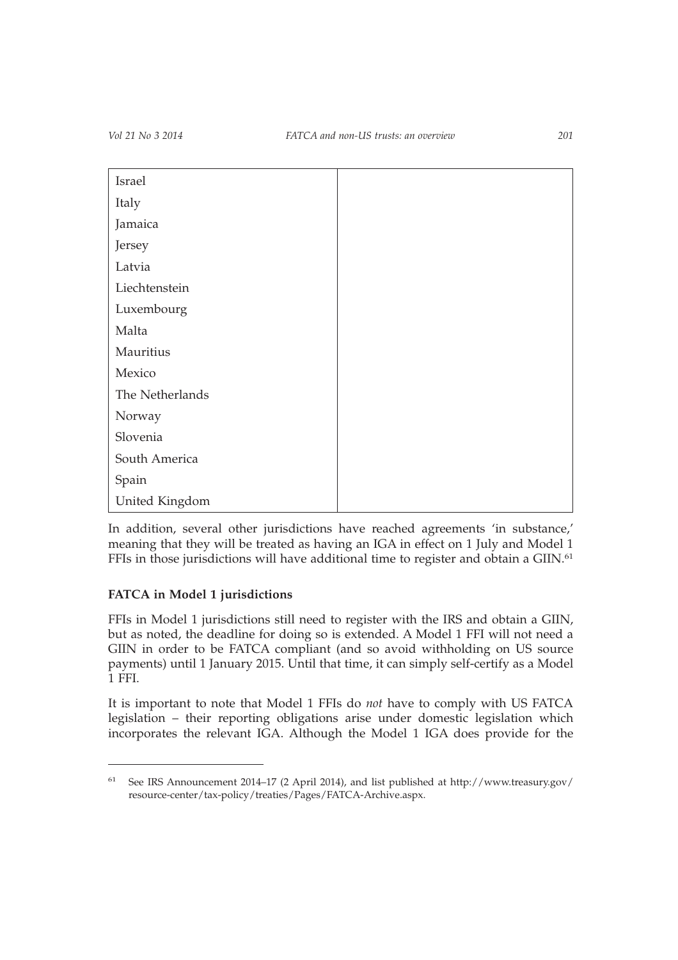| Israel          |  |
|-----------------|--|
| Italy           |  |
| Jamaica         |  |
| Jersey          |  |
| Latvia          |  |
| Liechtenstein   |  |
| Luxembourg      |  |
| Malta           |  |
| Mauritius       |  |
| Mexico          |  |
| The Netherlands |  |
| Norway          |  |
| Slovenia        |  |
| South America   |  |
| Spain           |  |
| United Kingdom  |  |

In addition, several other jurisdictions have reached agreements 'in substance,' meaning that they will be treated as having an IGA in effect on 1 July and Model 1 FFIs in those jurisdictions will have additional time to register and obtain a GIIN.<sup>61</sup>

# **FATCA in Model 1 jurisdictions**

FFIs in Model 1 jurisdictions still need to register with the IRS and obtain a GIIN, but as noted, the deadline for doing so is extended. A Model 1 FFI will not need a GIIN in order to be FATCA compliant (and so avoid withholding on US source payments) until 1 January 2015. Until that time, it can simply self-certify as a Model 1 FFI.

It is important to note that Model 1 FFIs do *not* have to comply with US FATCA legislation – their reporting obligations arise under domestic legislation which incorporates the relevant IGA. Although the Model 1 IGA does provide for the

<sup>61</sup> See IRS Announcement 2014–17 (2 April 2014), and list published at http://www.treasury.gov/ resource-center/tax-policy/treaties/Pages/FATCA-Archive.aspx.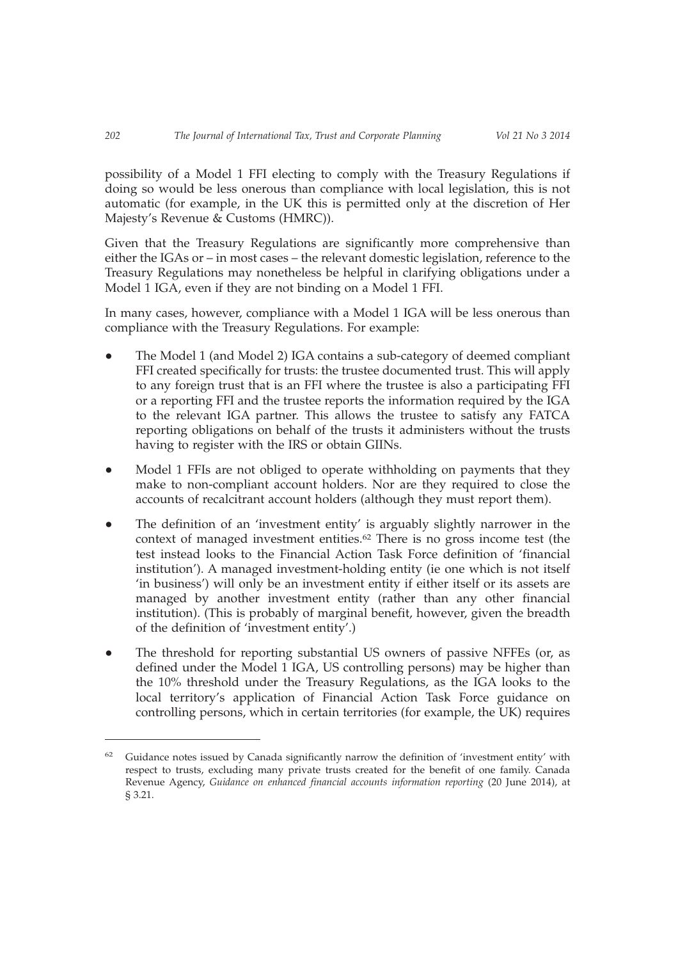possibility of a Model 1 FFI electing to comply with the Treasury Regulations if doing so would be less onerous than compliance with local legislation, this is not automatic (for example, in the UK this is permitted only at the discretion of Her Majesty's Revenue & Customs (HMRC)).

Given that the Treasury Regulations are significantly more comprehensive than either the IGAs or – in most cases – the relevant domestic legislation, reference to the Treasury Regulations may nonetheless be helpful in clarifying obligations under a Model 1 IGA, even if they are not binding on a Model 1 FFI.

In many cases, however, compliance with a Model 1 IGA will be less onerous than compliance with the Treasury Regulations. For example:

- The Model 1 (and Model 2) IGA contains a sub-category of deemed compliant FFI created specifically for trusts: the trustee documented trust. This will apply to any foreign trust that is an FFI where the trustee is also a participating FFI or a reporting FFI and the trustee reports the information required by the IGA to the relevant IGA partner. This allows the trustee to satisfy any FATCA reporting obligations on behalf of the trusts it administers without the trusts having to register with the IRS or obtain GIINs.
- Model 1 FFIs are not obliged to operate withholding on payments that they make to non-compliant account holders. Nor are they required to close the accounts of recalcitrant account holders (although they must report them).
- The definition of an 'investment entity' is arguably slightly narrower in the context of managed investment entities.62 There is no gross income test (the test instead looks to the Financial Action Task Force definition of 'financial institution'). A managed investment-holding entity (ie one which is not itself 'in business') will only be an investment entity if either itself or its assets are managed by another investment entity (rather than any other financial institution). (This is probably of marginal benefit, however, given the breadth of the definition of 'investment entity'.)
- The threshold for reporting substantial US owners of passive NFFEs (or, as defined under the Model 1 IGA, US controlling persons) may be higher than the 10% threshold under the Treasury Regulations, as the IGA looks to the local territory's application of Financial Action Task Force guidance on controlling persons, which in certain territories (for example, the UK) requires

<sup>62</sup> Guidance notes issued by Canada significantly narrow the definition of 'investment entity' with respect to trusts, excluding many private trusts created for the benefit of one family. Canada Revenue Agency, *Guidance on enhanced financial accounts information reporting* (20 June 2014), at § 3.21.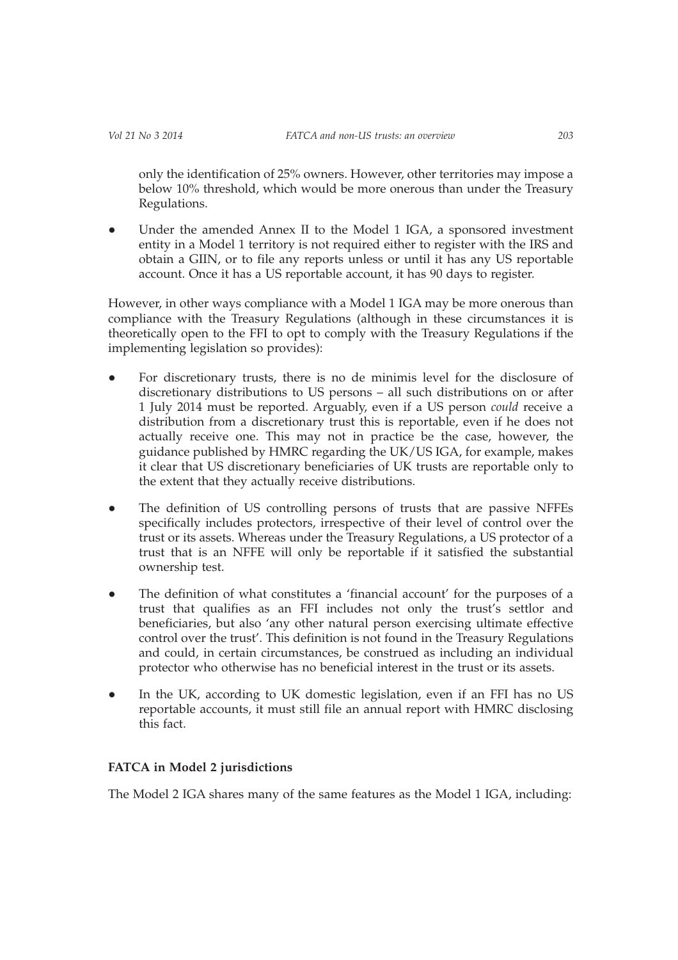only the identification of 25% owners. However, other territories may impose a below 10% threshold, which would be more onerous than under the Treasury Regulations.

• Under the amended Annex II to the Model 1 IGA, a sponsored investment entity in a Model 1 territory is not required either to register with the IRS and obtain a GIIN, or to file any reports unless or until it has any US reportable account. Once it has a US reportable account, it has 90 days to register.

However, in other ways compliance with a Model 1 IGA may be more onerous than compliance with the Treasury Regulations (although in these circumstances it is theoretically open to the FFI to opt to comply with the Treasury Regulations if the implementing legislation so provides):

- For discretionary trusts, there is no de minimis level for the disclosure of discretionary distributions to US persons – all such distributions on or after 1 July 2014 must be reported. Arguably, even if a US person *could* receive a distribution from a discretionary trust this is reportable, even if he does not actually receive one. This may not in practice be the case, however, the guidance published by HMRC regarding the UK/US IGA, for example, makes it clear that US discretionary beneficiaries of UK trusts are reportable only to the extent that they actually receive distributions.
- The definition of US controlling persons of trusts that are passive NFFEs specifically includes protectors, irrespective of their level of control over the trust or its assets. Whereas under the Treasury Regulations, a US protector of a trust that is an NFFE will only be reportable if it satisfied the substantial ownership test.
- The definition of what constitutes a 'financial account' for the purposes of a trust that qualifies as an FFI includes not only the trust's settlor and beneficiaries, but also 'any other natural person exercising ultimate effective control over the trust'. This definition is not found in the Treasury Regulations and could, in certain circumstances, be construed as including an individual protector who otherwise has no beneficial interest in the trust or its assets.
- In the UK, according to UK domestic legislation, even if an FFI has no US reportable accounts, it must still file an annual report with HMRC disclosing this fact.

## **FATCA in Model 2 jurisdictions**

The Model 2 IGA shares many of the same features as the Model 1 IGA, including: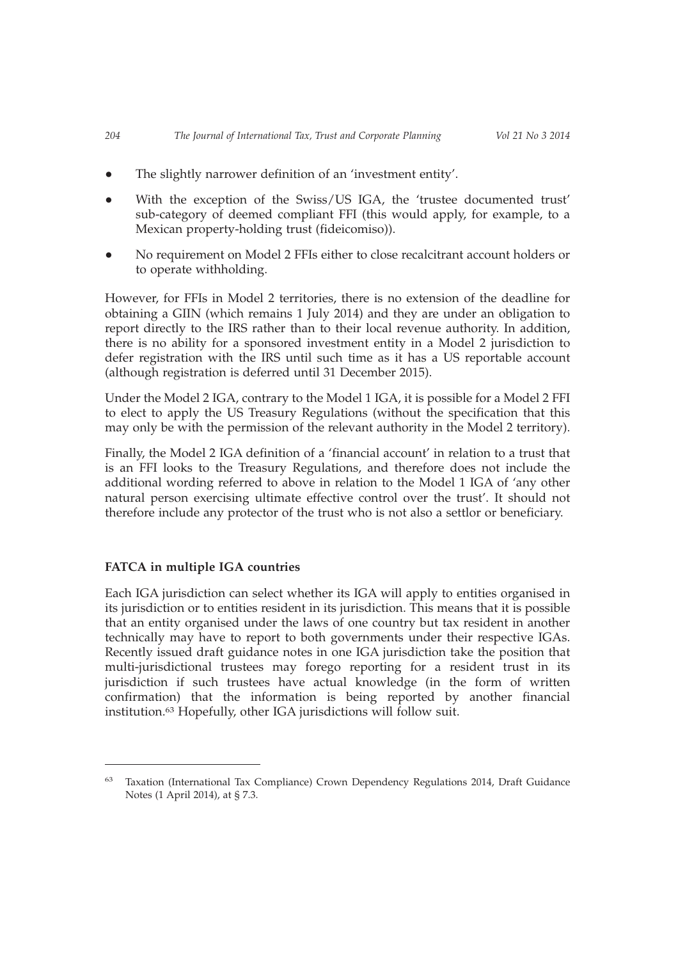- The slightly narrower definition of an 'investment entity'.
- With the exception of the Swiss/US IGA, the 'trustee documented trust' sub-category of deemed compliant FFI (this would apply, for example, to a Mexican property-holding trust (fideicomiso)).
- No requirement on Model 2 FFIs either to close recalcitrant account holders or to operate withholding.

However, for FFIs in Model 2 territories, there is no extension of the deadline for obtaining a GIIN (which remains 1 July 2014) and they are under an obligation to report directly to the IRS rather than to their local revenue authority. In addition, there is no ability for a sponsored investment entity in a Model 2 jurisdiction to defer registration with the IRS until such time as it has a US reportable account (although registration is deferred until 31 December 2015).

Under the Model 2 IGA, contrary to the Model 1 IGA, it is possible for a Model 2 FFI to elect to apply the US Treasury Regulations (without the specification that this may only be with the permission of the relevant authority in the Model 2 territory).

Finally, the Model 2 IGA definition of a 'financial account' in relation to a trust that is an FFI looks to the Treasury Regulations, and therefore does not include the additional wording referred to above in relation to the Model 1 IGA of 'any other natural person exercising ultimate effective control over the trust'. It should not therefore include any protector of the trust who is not also a settlor or beneficiary.

## **FATCA in multiple IGA countries**

Each IGA jurisdiction can select whether its IGA will apply to entities organised in its jurisdiction or to entities resident in its jurisdiction. This means that it is possible that an entity organised under the laws of one country but tax resident in another technically may have to report to both governments under their respective IGAs. Recently issued draft guidance notes in one IGA jurisdiction take the position that multi-jurisdictional trustees may forego reporting for a resident trust in its jurisdiction if such trustees have actual knowledge (in the form of written confirmation) that the information is being reported by another financial institution.63 Hopefully, other IGA jurisdictions will follow suit.

<sup>63</sup> Taxation (International Tax Compliance) Crown Dependency Regulations 2014, Draft Guidance Notes (1 April 2014), at § 7.3.